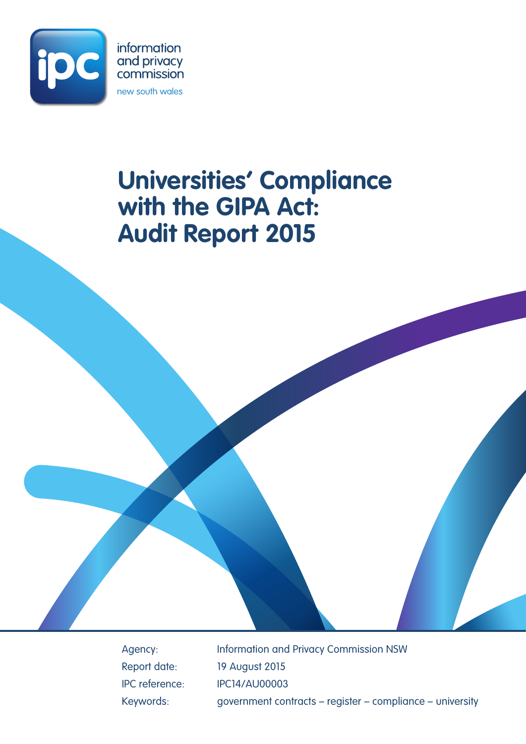

**Universities' Compliance with the GIPA Act: Audit Report 2015** 

Agency: Information and Privacy Commission NSW

Report date: 19 August 2015 IPC reference: IPC14/AU00003 Keywords: government contracts – register – compliance – university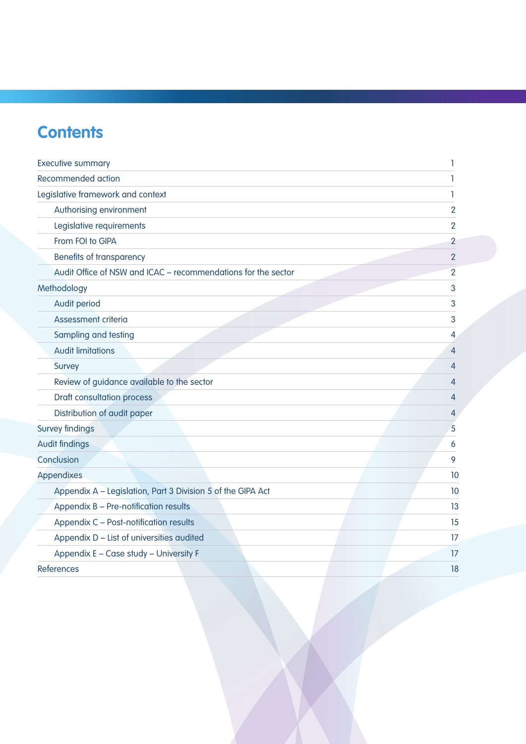# **Contents**

| <b>Executive summary</b>                                      | 1              |
|---------------------------------------------------------------|----------------|
| <b>Recommended action</b>                                     |                |
| Legislative framework and context                             |                |
| Authorising environment                                       | 2              |
| Legislative requirements                                      | $\overline{2}$ |
| From FOI to GIPA                                              | $\overline{2}$ |
| <b>Benefits of transparency</b>                               | 2              |
| Audit Office of NSW and ICAC - recommendations for the sector | 2              |
| Methodology                                                   | 3              |
| Audit period                                                  | 3              |
| Assessment criteria                                           | 3              |
| Sampling and testing                                          | 4              |
| <b>Audit limitations</b>                                      | $\overline{4}$ |
| Survey                                                        | 4              |
| Review of guidance available to the sector                    | 4              |
| <b>Draft consultation process</b>                             | 4              |
| Distribution of audit paper                                   | 4              |
| <b>Survey findings</b>                                        | 5              |
| <b>Audit findings</b>                                         | 6              |
| Conclusion                                                    | 9              |
| <b>Appendixes</b>                                             | 10             |
| Appendix A - Legislation, Part 3 Division 5 of the GIPA Act   | 10             |
| Appendix B - Pre-notification results                         | 13             |
| Appendix C - Post-notification results                        | 15             |
| Appendix D - List of universities audited                     | 17             |
| Appendix E - Case study - University F                        | 17             |
| <b>References</b>                                             | 18             |
|                                                               |                |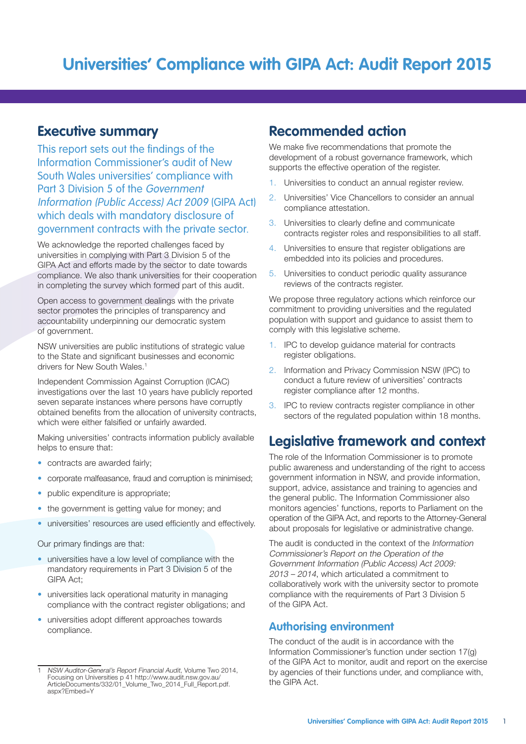# <span id="page-2-0"></span>**Executive summary**

This report sets out the findings of the Information Commissioner's audit of New South Wales universities' compliance with Part 3 Division 5 of the Government Information (Public Access) Act 2009 (GIPA Act) which deals with mandatory disclosure of government contracts with the private sector.

We acknowledge the reported challenges faced by universities in complying with Part 3 Division 5 of the GIPA Act and efforts made by the sector to date towards compliance. We also thank universities for their cooperation in completing the survey which formed part of this audit.

Open access to government dealings with the private sector promotes the principles of transparency and accountability underpinning our democratic system of government.

NSW universities are public institutions of strategic value to the State and significant businesses and economic drivers for New South Wales.<sup>1</sup>

Independent Commission Against Corruption (ICAC) investigations over the last 10 years have publicly reported seven separate instances where persons have corruptly obtained benefits from the allocation of university contracts, which were either falsified or unfairly awarded.

Making universities' contracts information publicly available helps to ensure that:

- contracts are awarded fairly:
- corporate malfeasance, fraud and corruption is minimised;
- public expenditure is appropriate;
- the government is getting value for money; and
- universities' resources are used efficiently and effectively.

Our primary findings are that:

- universities have a low level of compliance with the mandatory requirements in Part 3 Division 5 of the GIPA Act;
- universities lack operational maturity in managing compliance with the contract register obligations; and
- universities adopt different approaches towards compliance.

# **Recommended action**

We make five recommendations that promote the development of a robust governance framework, which supports the effective operation of the register.

- 1. Universities to conduct an annual register review.
- 2. Universities' Vice Chancellors to consider an annual compliance attestation.
- 3. Universities to clearly define and communicate contracts register roles and responsibilities to all staff.
- 4. Universities to ensure that register obligations are embedded into its policies and procedures.
- 5. Universities to conduct periodic quality assurance reviews of the contracts register.

We propose three regulatory actions which reinforce our commitment to providing universities and the regulated population with support and guidance to assist them to comply with this legislative scheme.

- 1. IPC to develop guidance material for contracts register obligations.
- 2. Information and Privacy Commission NSW (IPC) to conduct a future review of universities' contracts register compliance after 12 months.
- 3. IPC to review contracts register compliance in other sectors of the regulated population within 18 months.

# **Legislative framework and context**

The role of the Information Commissioner is to promote public awareness and understanding of the right to access government information in NSW, and provide information, support, advice, assistance and training to agencies and the general public. The Information Commissioner also monitors agencies' functions, reports to Parliament on the operation of the GIPA Act, and reports to the Attorney-General about proposals for legislative or administrative change.

The audit is conducted in the context of the Information [Commissioner's Report on the Operation of the](http://www.ipc.nsw.gov.au/report-operation-government-information-public-access-act-2009-2013-2014)  [Government Information \(Public Access\) Act 2009:](http://www.ipc.nsw.gov.au/report-operation-government-information-public-access-act-2009-2013-2014)  [2013 – 2014](http://www.ipc.nsw.gov.au/report-operation-government-information-public-access-act-2009-2013-2014), which articulated a commitment to collaboratively work with the university sector to promote compliance with the requirements of Part 3 Division 5 of the GIPA Act.

### **Authorising environment**

The conduct of the audit is in accordance with the Information Commissioner's function under section 17(g) of the GIPA Act to monitor, audit and report on the exercise by agencies of their functions under, and compliance with, the GIPA Act.

<sup>1</sup> NSW Auditor-General's Report Financial Audit, Volume Two 2014, Focusing on Universities p 41 [http://www.audit.nsw.gov.au/](http://www.audit.nsw.gov.au/ArticleDocuments/332/01_Volume_Two_2014_Full_Report.pdf.aspx?Embed=Y) [ArticleDocuments/332/01\\_Volume\\_Two\\_2014\\_Full\\_Report.pdf.](http://www.audit.nsw.gov.au/ArticleDocuments/332/01_Volume_Two_2014_Full_Report.pdf.aspx?Embed=Y) [aspx?Embed=Y](http://www.audit.nsw.gov.au/ArticleDocuments/332/01_Volume_Two_2014_Full_Report.pdf.aspx?Embed=Y)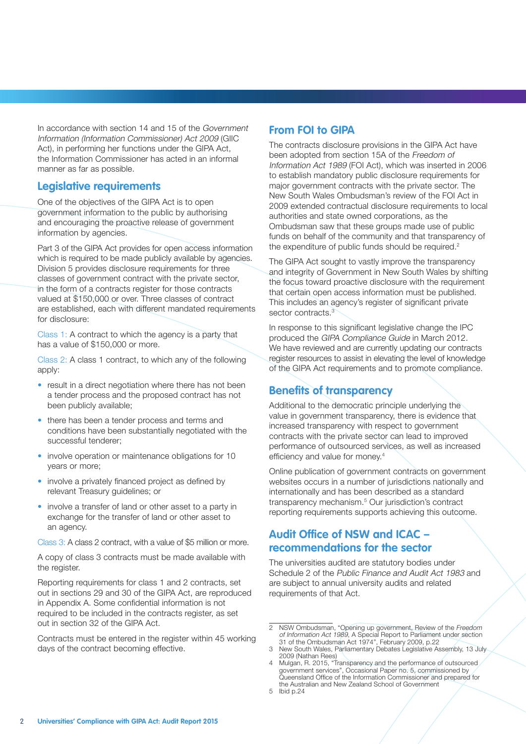<span id="page-3-0"></span>In accordance with section 14 and 15 of the Government Information (Information Commissioner) Act 2009 (GIIC Act), in performing her functions under the GIPA Act, the Information Commissioner has acted in an informal manner as far as possible.

### **Legislative requirements**

One of the objectives of the GIPA Act is to open government information to the public by authorising and encouraging the proactive release of government information by agencies.

Part 3 of the GIPA Act provides for open access information which is required to be made publicly available by agencies. Division 5 provides disclosure requirements for three classes of government contract with the private sector, in the form of a contracts register for those contracts valued at \$150,000 or over. Three classes of contract are established, each with different mandated requirements for disclosure:

Class 1: A contract to which the agency is a party that has a value of \$150,000 or more.

Class 2: A class 1 contract, to which any of the following apply:

- result in a direct negotiation where there has not been a tender process and the proposed contract has not been publicly available;
- there has been a tender process and terms and conditions have been substantially negotiated with the successful tenderer;
- involve operation or maintenance obligations for 10 years or more;
- involve a privately financed project as defined by relevant Treasury guidelines; or
- involve a transfer of land or other asset to a party in exchange for the transfer of land or other asset to an agency.

Class 3: A class 2 contract, with a value of \$5 million or more.

A copy of class 3 contracts must be made available with the register.

Reporting requirements for class 1 and 2 contracts, set out in sections 29 and 30 of the GIPA Act, are reproduced in Appendix A. Some confidential information is not required to be included in the contracts register, as set out in section 32 of the GIPA Act.

Contracts must be entered in the register within 45 working days of the contract becoming effective.

# **From FOI to GIPA**

The contracts disclosure provisions in the GIPA Act have been adopted from section 15A of the Freedom of Information Act 1989 (FOI Act), which was inserted in 2006 to establish mandatory public disclosure requirements for major government contracts with the private sector. The New South Wales Ombudsman's review of the FOI Act in 2009 extended contractual disclosure requirements to local authorities and state owned corporations, as the Ombudsman saw that these groups made use of public funds on behalf of the community and that transparency of the expenditure of public funds should be required.<sup>2</sup>

The GIPA Act sought to vastly improve the transparency and integrity of Government in New South Wales by shifting the focus toward proactive disclosure with the requirement that certain open access information must be published. This includes an agency's register of significant private sector contracts.<sup>3</sup>

In response to this significant legislative change the IPC produced the GIPA Compliance Guide in March 2012. We have reviewed and are currently updating our contracts register resources to assist in elevating the level of knowledge of the GIPA Act requirements and to promote compliance.

# **Benefits of transparency**

Additional to the democratic principle underlying the value in government transparency, there is evidence that increased transparency with respect to government contracts with the private sector can lead to improved performance of outsourced services, as well as increased efficiency and value for money.4

Online publication of government contracts on government websites occurs in a number of jurisdictions nationally and internationally and has been described as a standard transparency mechanism.5 Our jurisdiction's contract reporting requirements supports achieving this outcome.

# **Audit Office of NSW and ICAC – recommendations for the sector**

The universities audited are statutory bodies under Schedule 2 of the Public Finance and Audit Act 1983 and are subject to annual university audits and related requirements of that Act.

5 Ibid p.24

<sup>2</sup> NSW Ombudsman, "Opening up government, Review of the Freedom of Information Act 1989, A Special Report to Parliament under section 31 of the Ombudsman Act 1974", February 2009, p.22

<sup>3</sup> New South Wales, Parliamentary Debates Legislative Assembly, 13 July 2009 (Nathan Rees)

<sup>4</sup> Mulgan, R. 2015, "Transparency and the performance of outsourced government services", Occasional Paper no. 5, commissioned by Queensland Office of the Information Commissioner and prepared for the Australian and New Zealand School of Government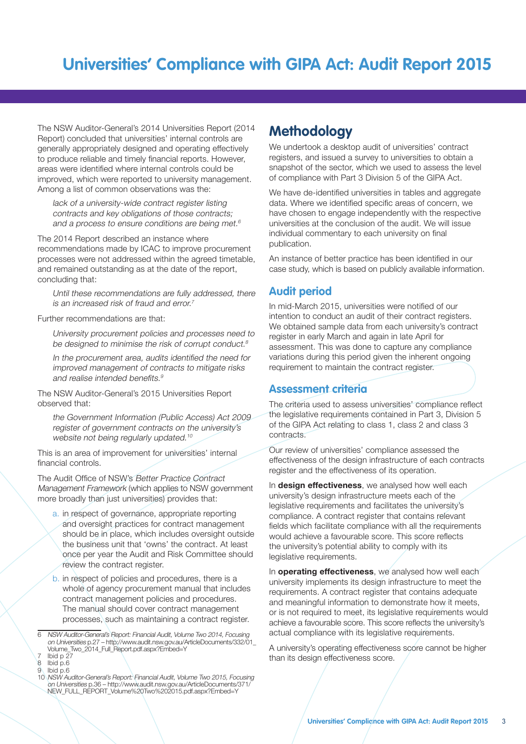<span id="page-4-0"></span>The NSW Auditor-General's 2014 Universities Report (2014 Report) concluded that universities' internal controls are generally appropriately designed and operating effectively to produce reliable and timely financial reports. However, areas were identified where internal controls could be improved, which were reported to university management. Among a list of common observations was the:

lack of a university-wide contract register listing contracts and key obligations of those contracts; and a process to ensure conditions are being met. $6$ 

The 2014 Report described an instance where recommendations made by ICAC to improve procurement processes were not addressed within the agreed timetable, and remained outstanding as at the date of the report, concluding that:

Until these recommendations are fully addressed, there is an increased risk of fraud and error.<sup>7</sup>

Further recommendations are that:

University procurement policies and processes need to be designed to minimise the risk of corrupt conduct.<sup>8</sup>

In the procurement area, audits identified the need for improved management of contracts to mitigate risks and realise intended benefits.<sup>9</sup>

The NSW Auditor-General's 2015 Universities Report observed that:

the Government Information (Public Access) Act 2009 register of government contracts on the university's website not being regularly updated.<sup>10</sup>

This is an area of improvement for universities' internal financial controls.

The Audit Office of NSW's [Better Practice Contract](https://www.audit.nsw.gov.au/ArticleDocuments/197/Better%20Practice%20Contract%20Management%20Framework_b.pdf.aspx?Embed=Y)  [Management Framework](https://www.audit.nsw.gov.au/ArticleDocuments/197/Better%20Practice%20Contract%20Management%20Framework_b.pdf.aspx?Embed=Y) (which applies to NSW government more broadly than just universities) provides that:

- a. in respect of governance, appropriate reporting and oversight practices for contract management should be in place, which includes oversight outside the business unit that 'owns' the contract. At least once per year the Audit and Risk Committee should review the contract register.
- b. in respect of policies and procedures, there is a whole of agency procurement manual that includes contract management policies and procedures. The manual should cover contract management processes, such as maintaining a contract register.

# **Methodology**

We undertook a desktop audit of universities' contract registers, and issued a survey to universities to obtain a snapshot of the sector, which we used to assess the level of compliance with Part 3 Division 5 of the GIPA Act.

We have de-identified universities in tables and aggregate data. Where we identified specific areas of concern, we have chosen to engage independently with the respective universities at the conclusion of the audit. We will issue individual commentary to each university on final publication.

An instance of better practice has been identified in our case study, which is based on publicly available information.

# **Audit period**

In mid-March 2015, universities were notified of our intention to conduct an audit of their contract registers. We obtained sample data from each university's contract register in early March and again in late April for assessment. This was done to capture any compliance variations during this period given the inherent ongoing requirement to maintain the contract register.

### **Assessment criteria**

The criteria used to assess universities' compliance reflect the legislative requirements contained in Part 3, Division 5 of the GIPA Act relating to class 1, class 2 and class 3 contracts.

Our review of universities' compliance assessed the effectiveness of the design infrastructure of each contracts register and the effectiveness of its operation.

In **design effectiveness**, we analysed how well each university's design infrastructure meets each of the legislative requirements and facilitates the university's compliance. A contract register that contains relevant fields which facilitate compliance with all the requirements would achieve a favourable score. This score reflects the university's potential ability to comply with its legislative requirements.

In **operating effectiveness**, we analysed how well each university implements its design infrastructure to meet the requirements. A contract register that contains adequate and meaningful information to demonstrate how it meets, or is not required to meet, its legislative requirements would achieve a favourable score. This score reflects the university's actual compliance with its legislative requirements.

A university's operating effectiveness score cannot be higher than its design effectiveness score.

<sup>6</sup> NSW Auditor-General's Report: Financial Audit, Volume Two 2014, Focusing on Universities p.27 – [http://www.audit.nsw.gov.au/ArticleDocuments/332/01\\_](http://www.audit.nsw.gov.au/ArticleDocuments/332/01_Volume_Two_2014_Full_Report.pdf.aspx?Embed=Y) [Volume\\_Two\\_2014\\_Full\\_Report.pdf.aspx?Embed=Y](http://www.audit.nsw.gov.au/ArticleDocuments/332/01_Volume_Two_2014_Full_Report.pdf.aspx?Embed=Y)

Ibid p  $27$ 

<sup>8</sup> Ibid p.6 9 Ibid p.6

<sup>10</sup> NSW Auditor-General's Report: Financial Audit, Volume Two 2015, Focusing on Universities p.36 – [http://www.audit.nsw.gov.au/ArticleDocuments/371/](http://www.audit.nsw.gov.au/ArticleDocuments/371/NEW_FULL_REPORT_Volume%20Two%202015.pdf.aspx?Embed=Y) [NEW\\_FULL\\_REPORT\\_Volume%20Two%202015.pdf.aspx?Embed=Y](http://www.audit.nsw.gov.au/ArticleDocuments/371/NEW_FULL_REPORT_Volume%20Two%202015.pdf.aspx?Embed=Y)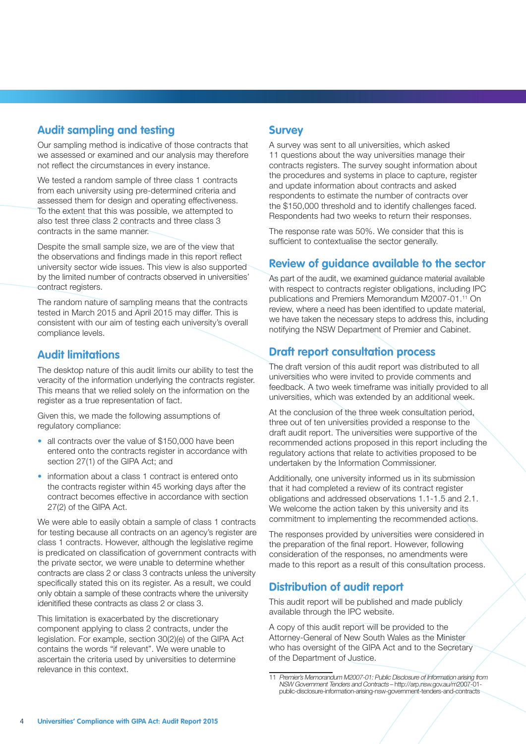# <span id="page-5-0"></span>**Audit sampling and testing**

Our sampling method is indicative of those contracts that we assessed or examined and our analysis may therefore not reflect the circumstances in every instance.

We tested a random sample of three class 1 contracts from each university using pre-determined criteria and assessed them for design and operating effectiveness. To the extent that this was possible, we attempted to also test three class 2 contracts and three class 3 contracts in the same manner.

Despite the small sample size, we are of the view that the observations and findings made in this report reflect university sector wide issues. This view is also supported by the limited number of contracts observed in universities' contract registers.

The random nature of sampling means that the contracts tested in March 2015 and April 2015 may differ. This is consistent with our aim of testing each university's overall compliance levels.

# **Audit limitations**

The desktop nature of this audit limits our ability to test the veracity of the information underlying the contracts register. This means that we relied solely on the information on the register as a true representation of fact.

Given this, we made the following assumptions of regulatory compliance:

- all contracts over the value of \$150,000 have been entered onto the contracts register in accordance with section 27(1) of the GIPA Act; and
- information about a class 1 contract is entered onto the contracts register within 45 working days after the contract becomes effective in accordance with section 27(2) of the GIPA Act.

We were able to easily obtain a sample of class 1 contracts for testing because all contracts on an agency's register are class 1 contracts. However, although the legislative regime is predicated on classification of government contracts with the private sector, we were unable to determine whether contracts are class 2 or class 3 contracts unless the university specifically stated this on its register. As a result, we could only obtain a sample of these contracts where the university idenitified these contracts as class 2 or class 3.

This limitation is exacerbated by the discretionary component applying to class 2 contracts, under the legislation. For example, section 30(2)(e) of the GIPA Act contains the words "if relevant". We were unable to ascertain the criteria used by universities to determine relevance in this context.

### **Survey**

A survey was sent to all universities, which asked 11 questions about the way universities manage their contracts registers. The survey sought information about the procedures and systems in place to capture, register and update information about contracts and asked respondents to estimate the number of contracts over the \$150,000 threshold and to identify challenges faced. Respondents had two weeks to return their responses.

The response rate was 50%. We consider that this is sufficient to contextualise the sector generally.

# **Review of guidance available to the sector**

As part of the audit, we examined guidance material available with respect to contracts register obligations, including IPC publications and Premiers Memorandum M2007-01.11 On review, where a need has been identified to update material, we have taken the necessary steps to address this, including notifying the NSW Department of Premier and Cabinet.

# **Draft report consultation process**

The draft version of this audit report was distributed to all universities who were invited to provide comments and feedback. A two week timeframe was initially provided to all universities, which was extended by an additional week.

At the conclusion of the three week consultation period, three out of ten universities provided a response to the draft audit report. The universities were supportive of the recommended actions proposed in this report including the regulatory actions that relate to activities proposed to be undertaken by the Information Commissioner.

Additionally, one university informed us in its submission that it had completed a review of its contract register obligations and addressed observations 1.1-1.5 and 2.1. We welcome the action taken by this university and its commitment to implementing the recommended actions.

The responses provided by universities were considered in the preparation of the final report. However, following consideration of the responses, no amendments were made to this report as a result of this consultation process.

# **Distribution of audit report**

This audit report will be published and made publicly available through the IPC website.

A copy of this audit report will be provided to the Attorney-General of New South Wales as the Minister who has oversight of the GIPA Act and to the Secretary of the Department of Justice.

<sup>11</sup> Premier's Memorandum M2007-01: Public Disclosure of Information arising from NSW Government Tenders and Contracts – http://arp.nsw.gov.au/m2007-01 public-disclosure-information-arising-nsw-government-tenders-and-contracts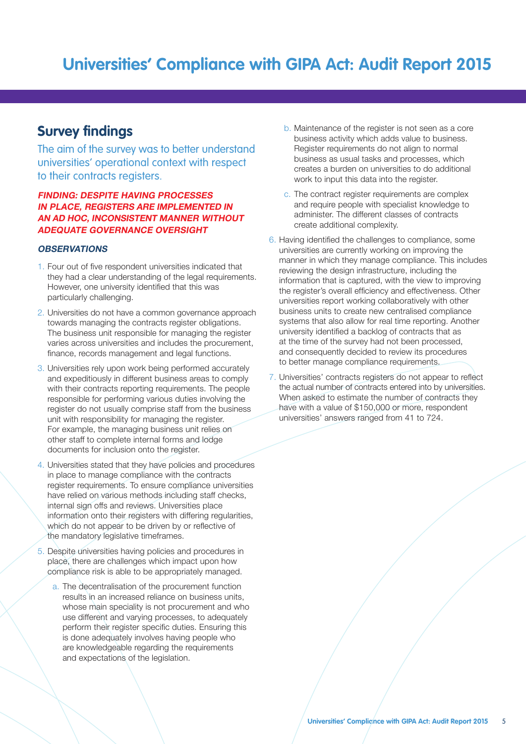# <span id="page-6-0"></span>**Survey findings**

The aim of the survey was to better understand universities' operational context with respect to their contracts registers.

#### **FINDING: DESPITE HAVING PROCESSES IN PLACE, REGISTERS ARE IMPLEMENTED IN AN AD HOC, INCONSISTENT MANNER WITHOUT ADEQUATE GOVERNANCE OVERSIGHT**

#### **OBSERVATIONS**

- 1. Four out of five respondent universities indicated that they had a clear understanding of the legal requirements. However, one university identified that this was particularly challenging.
- 2. Universities do not have a common governance approach towards managing the contracts register obligations. The business unit responsible for managing the register varies across universities and includes the procurement, finance, records management and legal functions.
- 3. Universities rely upon work being performed accurately and expeditiously in different business areas to comply with their contracts reporting requirements. The people responsible for performing various duties involving the register do not usually comprise staff from the business unit with responsibility for managing the register. For example, the managing business unit relies on other staff to complete internal forms and lodge documents for inclusion onto the register.
- 4. Universities stated that they have policies and procedures in place to manage compliance with the contracts register requirements. To ensure compliance universities have relied on various methods including staff checks, internal sign offs and reviews. Universities place information onto their registers with differing regularities, which do not appear to be driven by or reflective of the mandatory legislative timeframes.
- 5. Despite universities having policies and procedures in place, there are challenges which impact upon how compliance risk is able to be appropriately managed.
	- a. The decentralisation of the procurement function results in an increased reliance on business units, whose main speciality is not procurement and who use different and varying processes, to adequately perform their register specific duties. Ensuring this is done adequately involves having people who are knowledgeable regarding the requirements and expectations of the legislation.
- b. Maintenance of the register is not seen as a core business activity which adds value to business. Register requirements do not align to normal business as usual tasks and processes, which creates a burden on universities to do additional work to input this data into the register.
- c. The contract register requirements are complex and require people with specialist knowledge to administer. The different classes of contracts create additional complexity.
- 6. Having identified the challenges to compliance, some universities are currently working on improving the manner in which they manage compliance. This includes reviewing the design infrastructure, including the information that is captured, with the view to improving the register's overall efficiency and effectiveness. Other universities report working collaboratively with other business units to create new centralised compliance systems that also allow for real time reporting. Another university identified a backlog of contracts that as at the time of the survey had not been processed, and consequently decided to review its procedures to better manage compliance requirements.
- 7. Universities' contracts registers do not appear to reflect the actual number of contracts entered into by universities. When asked to estimate the number of contracts they have with a value of \$150,000 or more, respondent universities' answers ranged from 41 to 724.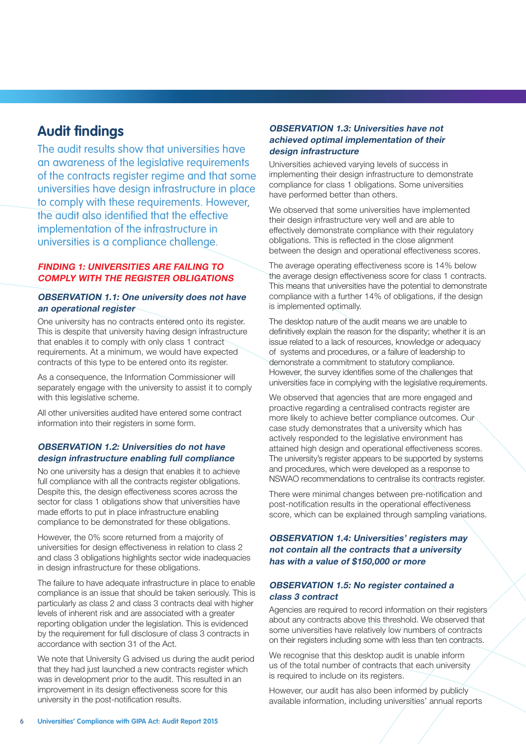# <span id="page-7-0"></span>**Audit findings**

The audit results show that universities have an awareness of the legislative requirements of the contracts register regime and that some universities have design infrastructure in place to comply with these requirements. However, the audit also identified that the effective implementation of the infrastructure in universities is a compliance challenge.

#### **FINDING 1: UNIVERSITIES ARE FAILING TO COMPLY WITH THE REGISTER OBLIGATIONS**

#### **OBSERVATION 1.1: One university does not have an operational register**

One university has no contracts entered onto its register. This is despite that university having design infrastructure that enables it to comply with only class 1 contract requirements. At a minimum, we would have expected contracts of this type to be entered onto its register.

As a consequence, the Information Commissioner will separately engage with the university to assist it to comply with this legislative scheme.

All other universities audited have entered some contract information into their registers in some form.

#### **OBSERVATION 1.2: Universities do not have design infrastructure enabling full compliance**

No one university has a design that enables it to achieve full compliance with all the contracts register obligations. Despite this, the design effectiveness scores across the sector for class 1 obligations show that universities have made efforts to put in place infrastructure enabling compliance to be demonstrated for these obligations.

However, the 0% score returned from a majority of universities for design effectiveness in relation to class 2 and class 3 obligations highlights sector wide inadequacies in design infrastructure for these obligations.

The failure to have adequate infrastructure in place to enable compliance is an issue that should be taken seriously. This is particularly as class 2 and class 3 contracts deal with higher levels of inherent risk and are associated with a greater reporting obligation under the legislation. This is evidenced by the requirement for full disclosure of class 3 contracts in accordance with section 31 of the Act.

We note that University G advised us during the audit period that they had just launched a new contracts register which was in development prior to the audit. This resulted in an improvement in its design effectiveness score for this university in the post-notification results.

#### **OBSERVATION 1.3: Universities have not achieved optimal implementation of their design infrastructure**

Universities achieved varying levels of success in implementing their design infrastructure to demonstrate compliance for class 1 obligations. Some universities have performed better than others.

We observed that some universities have implemented their design infrastructure very well and are able to effectively demonstrate compliance with their regulatory obligations. This is reflected in the close alignment between the design and operational effectiveness scores.

The average operating effectiveness score is 14% below the average design effectiveness score for class 1 contracts. This means that universities have the potential to demonstrate compliance with a further 14% of obligations, if the design is implemented optimally.

The desktop nature of the audit means we are unable to definitively explain the reason for the disparity; whether it is an issue related to a lack of resources, knowledge or adequacy of systems and procedures, or a failure of leadership to demonstrate a commitment to statutory compliance. However, the survey identifies some of the challenges that universities face in complying with the legislative requirements.

We observed that agencies that are more engaged and proactive regarding a centralised contracts register are more likely to achieve better compliance outcomes. Our case study demonstrates that a university which has actively responded to the legislative environment has attained high design and operational effectiveness scores. The university's register appears to be supported by systems and procedures, which were developed as a response to NSWAO recommendations to centralise its contracts register.

There were minimal changes between pre-notification and post-notification results in the operational effectiveness score, which can be explained through sampling variations.

#### **OBSERVATION 1.4: Universities' registers may not contain all the contracts that a university has with a value of \$150,000 or more**

#### **OBSERVATION 1.5: No register contained a class 3 contract**

Agencies are required to record information on their registers about any contracts above this threshold. We observed that some universities have relatively low numbers of contracts on their registers including some with less than ten contracts.

We recognise that this desktop audit is unable inform us of the total number of contracts that each university is required to include on its registers.

However, our audit has also been informed by publicly available information, including universities' annual reports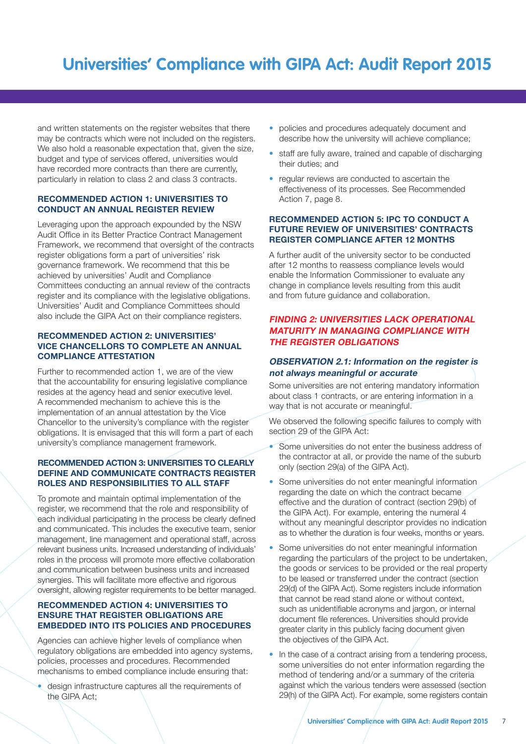# **Universities' Compliance with GIPA Act: Audit Report 2015**

and written statements on the register websites that there may be contracts which were not included on the registers. We also hold a reasonable expectation that, given the size, budget and type of services offered, universities would have recorded more contracts than there are currently, particularly in relation to class 2 and class 3 contracts.

#### **RECOMMENDED ACTION 1: UNIVERSITIES TO CONDUCT AN ANNUAL REGISTER REVIEW**

Leveraging upon the approach expounded by the NSW Audit Office in its Better Practice Contract Management Framework, we recommend that oversight of the contracts register obligations form a part of universities' risk governance framework. We recommend that this be achieved by universities' Audit and Compliance Committees conducting an annual review of the contracts register and its compliance with the legislative obligations. Universities' Audit and Compliance Committees should also include the GIPA Act on their compliance registers.

#### **RECOMMENDED ACTION 2: UNIVERSITIES' VICE CHANCELLORS TO COMPLETE AN ANNUAL COMPLIANCE ATTESTATION**

Further to recommended action 1, we are of the view that the accountability for ensuring legislative compliance resides at the agency head and senior executive level. A recommended mechanism to achieve this is the implementation of an annual attestation by the Vice Chancellor to the university's compliance with the register obligations. It is envisaged that this will form a part of each university's compliance management framework.

#### **RECOMMENDED ACTION 3: UNIVERSITIES TO CLEARLY DEFINE AND COMMUNICATE CONTRACTS REGISTER ROLES AND RESPONSIBILITIES TO ALL STAFF**

To promote and maintain optimal implementation of the register, we recommend that the role and responsibility of each individual participating in the process be clearly defined and communicated. This includes the executive team, senior management, line management and operational staff, across relevant business units. Increased understanding of individuals' roles in the process will promote more effective collaboration and communication between business units and increased synergies. This will facilitate more effective and rigorous oversight, allowing register requirements to be better managed.

#### **RECOMMENDED ACTION 4: UNIVERSITIES TO ENSURE THAT REGISTER OBLIGATIONS ARE EMBEDDED INTO ITS POLICIES AND PROCEDURES**

Agencies can achieve higher levels of compliance when regulatory obligations are embedded into agency systems, policies, processes and procedures. Recommended mechanisms to embed compliance include ensuring that:

• design infrastructure captures all the requirements of the GIPA Act;

- policies and procedures adequately document and describe how the university will achieve compliance;
- staff are fully aware, trained and capable of discharging their duties; and
- regular reviews are conducted to ascertain the effectiveness of its processes. See Recommended Action 7, page 8.

#### **RECOMMENDED ACTION 5: IPC TO CONDUCT A FUTURE REVIEW OF UNIVERSITIES' CONTRACTS REGISTER COMPLIANCE AFTER 12 MONTHS**

A further audit of the university sector to be conducted after 12 months to reassess compliance levels would enable the Information Commissioner to evaluate any change in compliance levels resulting from this audit and from future guidance and collaboration.

#### **FINDING 2: UNIVERSITIES LACK OPERATIONAL MATURITY IN MANAGING COMPLIANCE WITH THE REGISTER OBLIGATIONS**

#### **OBSERVATION 2.1: Information on the register is not always meaningful or accurate**

Some universities are not entering mandatory information about class 1 contracts, or are entering information in a way that is not accurate or meaningful.

We observed the following specific failures to comply with section 29 of the GIPA Act:

- Some universities do not enter the business address of the contractor at all, or provide the name of the suburb only (section 29(a) of the GIPA Act).
- Some universities do not enter meaningful information regarding the date on which the contract became effective and the duration of contract (section 29(b) of the GIPA Act). For example, entering the numeral 4 without any meaningful descriptor provides no indication as to whether the duration is four weeks, months or years.
- Some universities do not enter meaningful information regarding the particulars of the project to be undertaken, the goods or services to be provided or the real property to be leased or transferred under the contract (section 29(d) of the GIPA Act). Some registers include information that cannot be read stand alone or without context, such as unidentifiable acronyms and jargon, or internal document file references. Universities should provide greater clarity in this publicly facing document given the objectives of the GIPA Act.
- In the case of a contract arising from a tendering process, some universities do not enter information regarding the method of tendering and/or a summary of the criteria against which the various tenders were assessed (section 29(h) of the GIPA Act). For example, some registers contain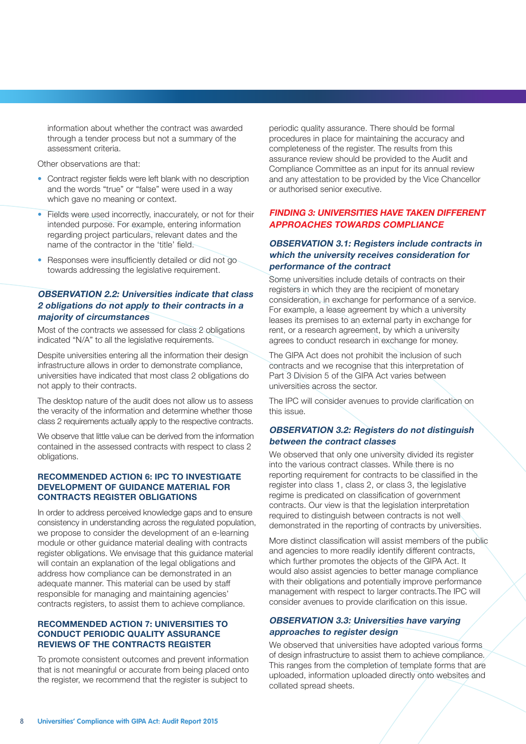information about whether the contract was awarded through a tender process but not a summary of the assessment criteria.

Other observations are that:

- Contract register fields were left blank with no description and the words "true" or "false" were used in a way which gave no meaning or context.
- Fields were used incorrectly, inaccurately, or not for their intended purpose. For example, entering information regarding project particulars, relevant dates and the name of the contractor in the 'title' field.
- Responses were insufficiently detailed or did not go towards addressing the legislative requirement.

#### **OBSERVATION 2.2: Universities indicate that class 2 obligations do not apply to their contracts in a majority of circumstances**

Most of the contracts we assessed for class 2 obligations indicated "N/A" to all the legislative requirements.

Despite universities entering all the information their design infrastructure allows in order to demonstrate compliance, universities have indicated that most class 2 obligations do not apply to their contracts.

The desktop nature of the audit does not allow us to assess the veracity of the information and determine whether those class 2 requirements actually apply to the respective contracts.

We observe that little value can be derived from the information contained in the assessed contracts with respect to class 2 obligations.

#### **RECOMMENDED ACTION 6: IPC TO INVESTIGATE DEVELOPMENT OF GUIDANCE MATERIAL FOR CONTRACTS REGISTER OBLIGATIONS**

In order to address perceived knowledge gaps and to ensure consistency in understanding across the regulated population, we propose to consider the development of an e-learning module or other guidance material dealing with contracts register obligations. We envisage that this guidance material will contain an explanation of the legal obligations and address how compliance can be demonstrated in an adequate manner. This material can be used by staff responsible for managing and maintaining agencies' contracts registers, to assist them to achieve compliance.

#### **RECOMMENDED ACTION 7: UNIVERSITIES TO CONDUCT PERIODIC QUALITY ASSURANCE REVIEWS OF THE CONTRACTS REGISTER**

To promote consistent outcomes and prevent information that is not meaningful or accurate from being placed onto the register, we recommend that the register is subject to

periodic quality assurance. There should be formal procedures in place for maintaining the accuracy and completeness of the register. The results from this assurance review should be provided to the Audit and Compliance Committee as an input for its annual review and any attestation to be provided by the Vice Chancellor or authorised senior executive.

#### **FINDING 3: UNIVERSITIES HAVE TAKEN DIFFERENT APPROACHES TOWARDS COMPLIANCE**

#### **OBSERVATION 3.1: Registers include contracts in which the university receives consideration for performance of the contract**

Some universities include details of contracts on their registers in which they are the recipient of monetary consideration, in exchange for performance of a service. For example, a lease agreement by which a university leases its premises to an external party in exchange for rent, or a research agreement, by which a university agrees to conduct research in exchange for money.

The GIPA Act does not prohibit the inclusion of such contracts and we recognise that this interpretation of Part 3 Division 5 of the GIPA Act varies between universities across the sector.

The IPC will consider avenues to provide clarification on this issue.

#### **OBSERVATION 3.2: Registers do not distinguish between the contract classes**

We observed that only one university divided its register into the various contract classes. While there is no reporting requirement for contracts to be classified in the register into class 1, class 2, or class 3, the legislative regime is predicated on classification of government contracts. Our view is that the legislation interpretation required to distinguish between contracts is not well demonstrated in the reporting of contracts by universities.

More distinct classification will assist members of the public and agencies to more readily identify different contracts, which further promotes the objects of the GIPA Act. It would also assist agencies to better manage compliance with their obligations and potentially improve performance management with respect to larger contracts.The IPC will consider avenues to provide clarification on this issue.

#### **OBSERVATION 3.3: Universities have varying approaches to register design**

We observed that universities have adopted various forms of design infrastructure to assist them to achieve compliance. This ranges from the completion of template forms that are uploaded, information uploaded directly onto websites and collated spread sheets.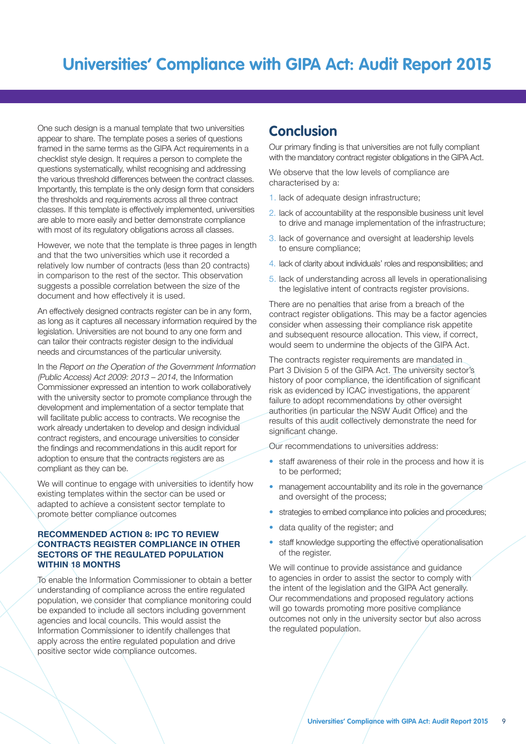<span id="page-10-0"></span>One such design is a manual template that two universities appear to share. The template poses a series of questions framed in the same terms as the GIPA Act requirements in a checklist style design. It requires a person to complete the questions systematically, whilst recognising and addressing the various threshold differences between the contract classes. Importantly, this template is the only design form that considers the thresholds and requirements across all three contract classes. If this template is effectively implemented, universities are able to more easily and better demonstrate compliance with most of its regulatory obligations across all classes.

However, we note that the template is three pages in length and that the two universities which use it recorded a relatively low number of contracts (less than 20 contracts) in comparison to the rest of the sector. This observation suggests a possible correlation between the size of the document and how effectively it is used.

An effectively designed contracts register can be in any form, as long as it captures all necessary information required by the legislation. Universities are not bound to any one form and can tailor their contracts register design to the individual needs and circumstances of the particular university.

In the Report on the Operation of the Government Information (Public Access) Act 2009: 2013 – 2014, the Information Commissioner expressed an intention to work collaboratively with the university sector to promote compliance through the development and implementation of a sector template that will facilitate public access to contracts. We recognise the work already undertaken to develop and design individual contract registers, and encourage universities to consider the findings and recommendations in this audit report for adoption to ensure that the contracts registers are as compliant as they can be.

We will continue to engage with universities to identify how existing templates within the sector can be used or adapted to achieve a consistent sector template to promote better compliance outcomes

#### **RECOMMENDED ACTION 8: IPC TO REVIEW CONTRACTS REGISTER COMPLIANCE IN OTHER SECTORS OF THE REGULATED POPULATION WITHIN 18 MONTHS**

To enable the Information Commissioner to obtain a better understanding of compliance across the entire regulated population, we consider that compliance monitoring could be expanded to include all sectors including government agencies and local councils. This would assist the Information Commissioner to identify challenges that apply across the entire regulated population and drive positive sector wide compliance outcomes.

# **Conclusion**

Our primary finding is that universities are not fully compliant with the mandatory contract register obligations in the GIPA Act.

We observe that the low levels of compliance are characterised by a:

- 1. lack of adequate design infrastructure;
- 2. lack of accountability at the responsible business unit level to drive and manage implementation of the infrastructure;
- 3. lack of governance and oversight at leadership levels to ensure compliance;
- 4. lack of clarity about individuals' roles and responsibilities; and
- 5. lack of understanding across all levels in operationalising the legislative intent of contracts register provisions.

There are no penalties that arise from a breach of the contract register obligations. This may be a factor agencies consider when assessing their compliance risk appetite and subsequent resource allocation. This view, if correct, would seem to undermine the objects of the GIPA Act.

The contracts register requirements are mandated in Part 3 Division 5 of the GIPA Act. The university sector's history of poor compliance, the identification of significant risk as evidenced by ICAC investigations, the apparent failure to adopt recommendations by other oversight authorities (in particular the NSW Audit Office) and the results of this audit collectively demonstrate the need for significant change.

Our recommendations to universities address:

- staff awareness of their role in the process and how it is to be performed;
- management accountability and its role in the governance and oversight of the process;
- strategies to embed compliance into policies and procedures;
- data quality of the register; and
- staff knowledge supporting the effective operationalisation of the register.

We will continue to provide assistance and quidance to agencies in order to assist the sector to comply with the intent of the legislation and the GIPA Act generally. Our recommendations and proposed regulatory actions will go towards promoting more positive compliance outcomes not only in the university sector but also across the regulated population.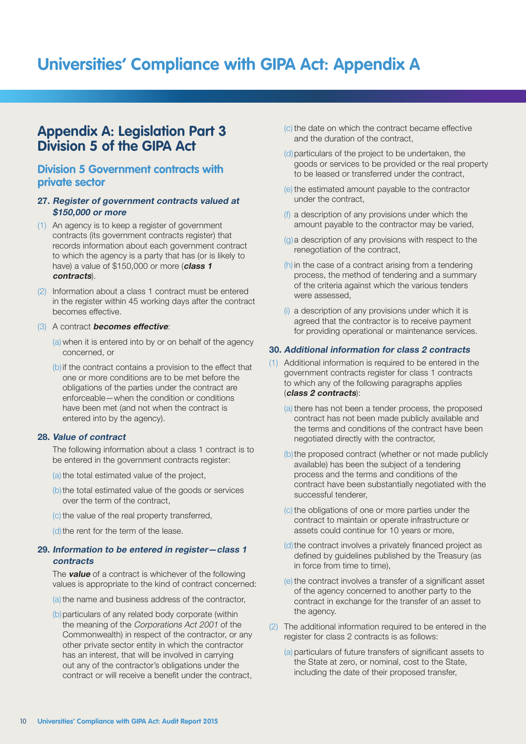# <span id="page-11-0"></span>**Universities' Compliance with GIPA Act: Appendix A**

# **Appendix A: Legislation Part 3 Division 5 of the GIPA Act**

### **Division 5 Government contracts with private sector**

#### **27. Register of government contracts valued at \$150,000 or more**

- (1) An agency is to keep a register of government contracts (its government contracts register) that records information about each government contract to which the agency is a party that has (or is likely to have) a value of \$150,000 or more (**class 1 contracts**).
- (2) Information about a class 1 contract must be entered in the register within 45 working days after the contract becomes effective.
- (3) A contract **becomes effective**:
	- (a) when it is entered into by or on behalf of the agency concerned, or
	- (b)if the contract contains a provision to the effect that one or more conditions are to be met before the obligations of the parties under the contract are enforceable—when the condition or conditions have been met (and not when the contract is entered into by the agency).

#### **28. Value of contract**

The following information about a class 1 contract is to be entered in the government contracts register:

(a) the total estimated value of the project,

- (b) the total estimated value of the goods or services over the term of the contract,
- (c) the value of the real property transferred,

(d) the rent for the term of the lease.

#### **29. Information to be entered in register—class 1 contracts**

The **value** of a contract is whichever of the following values is appropriate to the kind of contract concerned:

(a) the name and business address of the contractor,

(b)particulars of any related body corporate (within the meaning of the [Corporations Act 2001](https://www.comlaw.gov.au/Details/C2015C00228) of the Commonwealth) in respect of the contractor, or any other private sector entity in which the contractor has an interest, that will be involved in carrying out any of the contractor's obligations under the contract or will receive a benefit under the contract,

- (c) the date on which the contract became effective and the duration of the contract,
- (d)particulars of the project to be undertaken, the goods or services to be provided or the real property to be leased or transferred under the contract,
- (e) the estimated amount payable to the contractor under the contract,
- (f) a description of any provisions under which the amount payable to the contractor may be varied,
- (g) a description of any provisions with respect to the renegotiation of the contract,
- (h) in the case of a contract arising from a tendering process, the method of tendering and a summary of the criteria against which the various tenders were assessed,
- (i) a description of any provisions under which it is agreed that the contractor is to receive payment for providing operational or maintenance services.

#### **30. Additional information for class 2 contracts**

- (1) Additional information is required to be entered in the government contracts register for class 1 contracts to which any of the following paragraphs applies (**class 2 contracts**):
	- (a) there has not been a tender process, the proposed contract has not been made publicly available and the terms and conditions of the contract have been negotiated directly with the contractor,
	- (b) the proposed contract (whether or not made publicly available) has been the subject of a tendering process and the terms and conditions of the contract have been substantially negotiated with the successful tenderer,
	- (c) the obligations of one or more parties under the contract to maintain or operate infrastructure or assets could continue for 10 years or more,
	- (d) the contract involves a privately financed project as defined by guidelines published by the Treasury (as in force from time to time),
	- (e) the contract involves a transfer of a significant asset of the agency concerned to another party to the contract in exchange for the transfer of an asset to the agency.
- (2) The additional information required to be entered in the register for class 2 contracts is as follows:
	- (a) particulars of future transfers of significant assets to the State at zero, or nominal, cost to the State, including the date of their proposed transfer,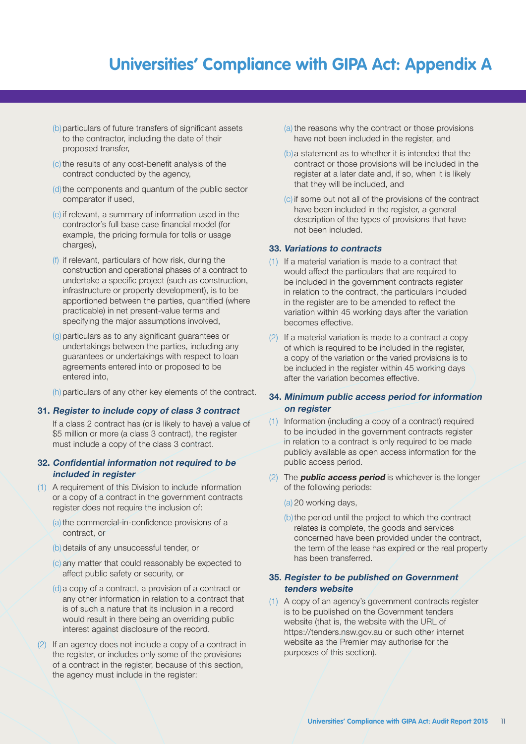# **Universities' Compliance with GIPA Act: Appendix A**

- (b)particulars of future transfers of significant assets to the contractor, including the date of their proposed transfer,
- (c) the results of any cost-benefit analysis of the contract conducted by the agency,
- (d) the components and quantum of the public sector comparator if used,
- (e) if relevant, a summary of information used in the contractor's full base case financial model (for example, the pricing formula for tolls or usage charges),
- (f) if relevant, particulars of how risk, during the construction and operational phases of a contract to undertake a specific project (such as construction, infrastructure or property development), is to be apportioned between the parties, quantified (where practicable) in net present-value terms and specifying the major assumptions involved,
- (g)particulars as to any significant guarantees or undertakings between the parties, including any guarantees or undertakings with respect to loan agreements entered into or proposed to be entered into,

(h) particulars of any other key elements of the contract.

#### **31. Register to include copy of class 3 contract**

If a class 2 contract has (or is likely to have) a value of \$5 million or more (a class 3 contract), the register must include a copy of the class 3 contract.

#### **32. Confidential information not required to be included in register**

- (1) A requirement of this Division to include information or a copy of a contract in the government contracts register does not require the inclusion of:
	- (a) the commercial-in-confidence provisions of a contract, or
	- (b) details of any unsuccessful tender, or
	- (c) any matter that could reasonably be expected to affect public safety or security, or
	- (d)a copy of a contract, a provision of a contract or any other information in relation to a contract that is of such a nature that its inclusion in a record would result in there being an overriding public interest against disclosure of the record.
- (2) If an agency does not include a copy of a contract in the register, or includes only some of the provisions of a contract in the register, because of this section, the agency must include in the register:
- (a) the reasons why the contract or those provisions have not been included in the register, and
- (b)a statement as to whether it is intended that the contract or those provisions will be included in the register at a later date and, if so, when it is likely that they will be included, and
- (c) if some but not all of the provisions of the contract have been included in the register, a general description of the types of provisions that have not been included.

#### **33. Variations to contracts**

- (1) If a material variation is made to a contract that would affect the particulars that are required to be included in the government contracts register in relation to the contract, the particulars included in the register are to be amended to reflect the variation within 45 working days after the variation becomes effective.
- (2) If a material variation is made to a contract a copy of which is required to be included in the register, a copy of the variation or the varied provisions is to be included in the register within 45 working days after the variation becomes effective.

#### **34. Minimum public access period for information on register**

- (1) Information (including a copy of a contract) required to be included in the government contracts register in relation to a contract is only required to be made publicly available as open access information for the public access period.
- (2) The **public access period** is whichever is the longer of the following periods:

(a) 20 working days,

(b)the period until the project to which the contract relates is complete, the goods and services concerned have been provided under the contract, the term of the lease has expired or the real property has been transferred.

#### **35. Register to be published on Government tenders website**

(1) A copy of an agency's government contracts register is to be published on the Government tenders website (that is, the website with the URL of <https://tenders.nsw.gov.au> or such other internet website as the Premier may authorise for the purposes of this section).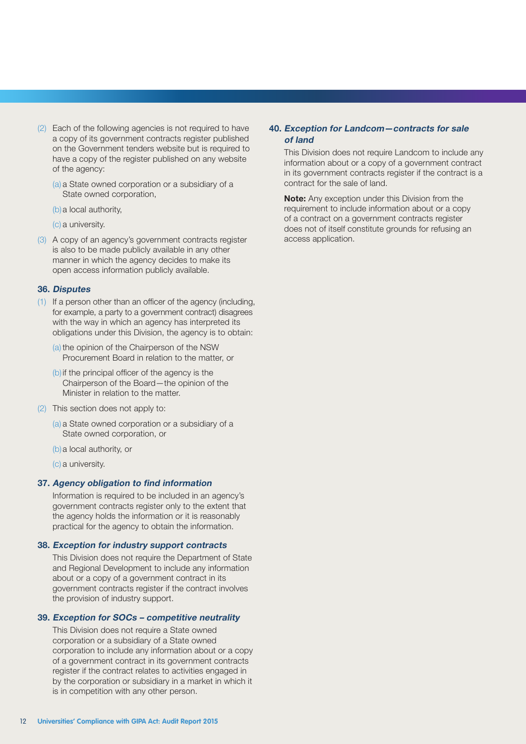(2) Each of the following agencies is not required to have a copy of its government contracts register published on the Government tenders website but is required to have a copy of the register published on any website of the agency:

(a) a State owned corporation or a subsidiary of a State owned corporation,

(b)a local authority,

(c) a university.

(3) A copy of an agency's government contracts register is also to be made publicly available in any other manner in which the agency decides to make its open access information publicly available.

#### **36. Disputes**

- (1) If a person other than an officer of the agency (including, for example, a party to a government contract) disagrees with the way in which an agency has interpreted its obligations under this Division, the agency is to obtain:
	- (a) the opinion of the Chairperson of the NSW Procurement Board in relation to the matter, or
	- (b)if the principal officer of the agency is the Chairperson of the Board—the opinion of the Minister in relation to the matter.
- (2) This section does not apply to:
	- (a) a State owned corporation or a subsidiary of a State owned corporation, or
	- (b)a local authority, or

(c) a university.

#### **37. Agency obligation to find information**

Information is required to be included in an agency's government contracts register only to the extent that the agency holds the information or it is reasonably practical for the agency to obtain the information.

#### **38. Exception for industry support contracts**

This Division does not require the Department of State and Regional Development to include any information about or a copy of a government contract in its government contracts register if the contract involves the provision of industry support.

#### **39. Exception for SOCs – competitive neutrality**

This Division does not require a State owned corporation or a subsidiary of a State owned corporation to include any information about or a copy of a government contract in its government contracts register if the contract relates to activities engaged in by the corporation or subsidiary in a market in which it is in competition with any other person.

#### **40. Exception for Landcom—contracts for sale of land**

This Division does not require Landcom to include any information about or a copy of a government contract in its government contracts register if the contract is a contract for the sale of land.

**Note:** Any exception under this Division from the requirement to include information about or a copy of a contract on a government contracts register does not of itself constitute grounds for refusing an access application.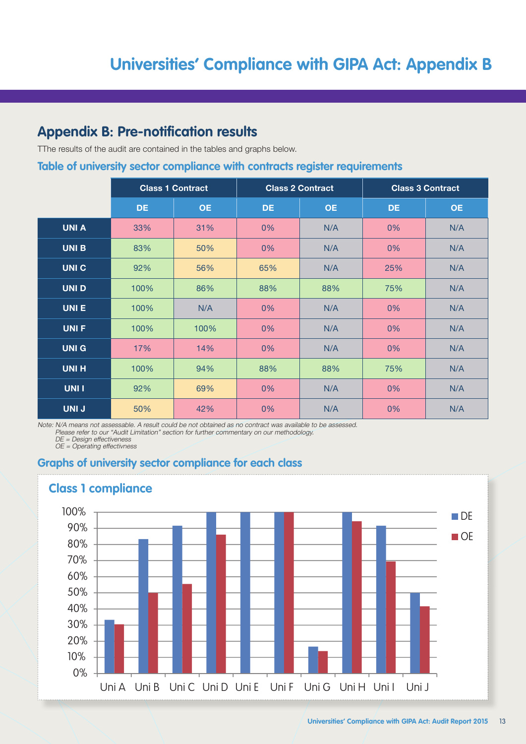# <span id="page-14-0"></span>**Appendix B: Pre-notification results**

TThe results of the audit are contained in the tables and graphs below.

#### **Table of university sector compliance with contracts register requirements**

|             | <b>Class 1 Contract</b> |           | <b>Class 2 Contract</b> |           | <b>Class 3 Contract</b> |           |
|-------------|-------------------------|-----------|-------------------------|-----------|-------------------------|-----------|
|             | <b>DE</b>               | <b>OE</b> | DE.                     | <b>OE</b> | <b>DE</b>               | <b>OE</b> |
| <b>UNIA</b> | 33%                     | 31%       | 0%                      | N/A       | 0%                      | N/A       |
| <b>UNIB</b> | 83%                     | 50%       | 0%                      | N/A       | 0%                      | N/A       |
| <b>UNIC</b> | 92%                     | 56%       | 65%                     | N/A       | 25%                     | N/A       |
| <b>UNID</b> | 100%                    | 86%       | 88%                     | 88%       | 75%                     | N/A       |
| <b>UNIE</b> | 100%                    | N/A       | 0%                      | N/A       | 0%                      | N/A       |
| <b>UNIF</b> | 100%                    | 100%      | 0%                      | N/A       | 0%                      | N/A       |
| <b>UNIG</b> | 17%                     | 14%       | 0%                      | N/A       | 0%                      | N/A       |
| <b>UNIH</b> | 100%                    | 94%       | 88%                     | 88%       | 75%                     | N/A       |
| <b>UNII</b> | 92%                     | 69%       | 0%                      | N/A       | 0%                      | N/A       |
| <b>UNIJ</b> | 50%                     | 42%       | 0%                      | N/A       | 0%                      | N/A       |

Note: N/A means not assessable. A result could be not obtained as no contract was available to be assessed. Please refer to our "Audit Limitation" section for further commentary on our methodology.

 DE = Design effectiveness OE = Operating effectivness

### **Graphs of university sector compliance for each class**

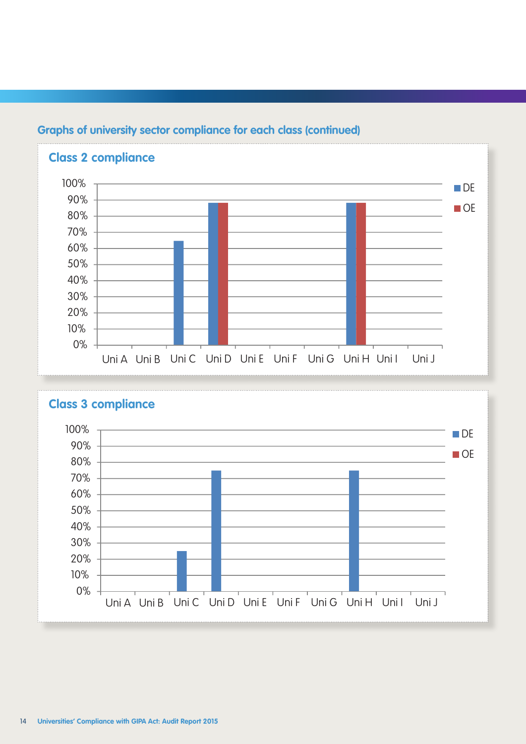# **Graphs of university sector compliance for each class (continued)**



# **Class 2 compliance**



# **Class 3 compliance**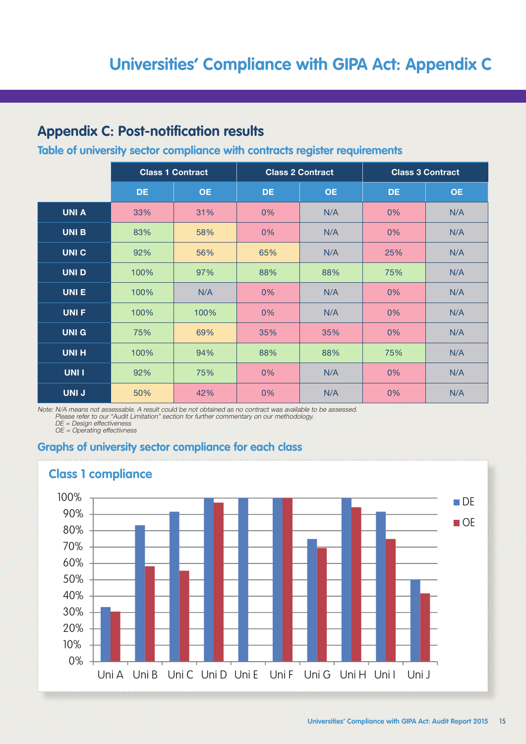# <span id="page-16-0"></span>**Appendix C: Post-notification results**

### **Table of university sector compliance with contracts register requirements**

|             | <b>Class 1 Contract</b> |           | <b>Class 2 Contract</b> |           | <b>Class 3 Contract</b> |           |
|-------------|-------------------------|-----------|-------------------------|-----------|-------------------------|-----------|
|             | <b>DE</b>               | <b>OE</b> | <b>DE</b>               | <b>OE</b> | <b>DE</b>               | <b>OE</b> |
| <b>UNIA</b> | 33%                     | 31%       | 0%                      | N/A       | 0%                      | N/A       |
| <b>UNIB</b> | 83%                     | 58%       | 0%                      | N/A       | 0%                      | N/A       |
| <b>UNIC</b> | 92%                     | 56%       | 65%                     | N/A       | 25%                     | N/A       |
| <b>UNID</b> | 100%                    | 97%       | 88%                     | 88%       | 75%                     | N/A       |
| <b>UNIE</b> | 100%                    | N/A       | 0%                      | N/A       | 0%                      | N/A       |
| <b>UNIF</b> | 100%                    | 100%      | 0%                      | N/A       | 0%                      | N/A       |
| <b>UNIG</b> | 75%                     | 69%       | 35%                     | 35%       | 0%                      | N/A       |
| <b>UNIH</b> | 100%                    | 94%       | 88%                     | 88%       | 75%                     | N/A       |
| <b>UNII</b> | 92%                     | 75%       | 0%                      | N/A       | 0%                      | N/A       |
| <b>UNIJ</b> | 50%                     | 42%       | 0%                      | N/A       | 0%                      | N/A       |

Note: N/A means not assessable. A result could be not obtained as no contract was available to be assessed.

Please refer to our "Audit Limitation" section for further commentary on our methodology.

DE = Design effectiveness

OE = Operating effectivness

### **Graphs of university sector compliance for each class**

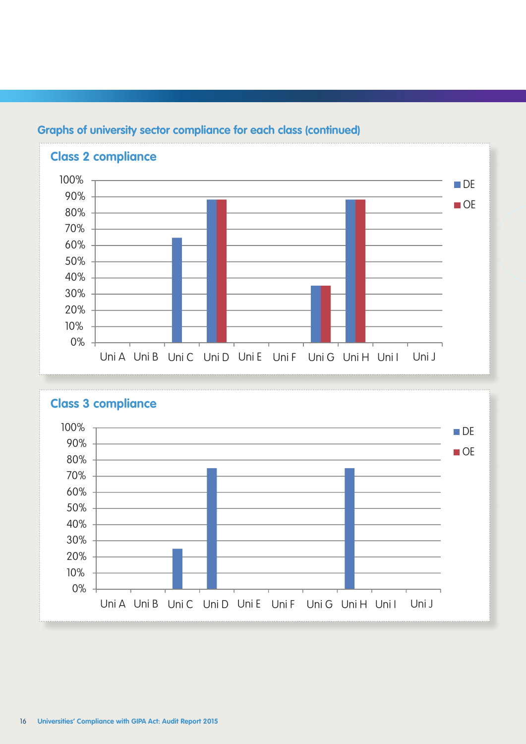# **Graphs of university sector compliance for each class (continued)**





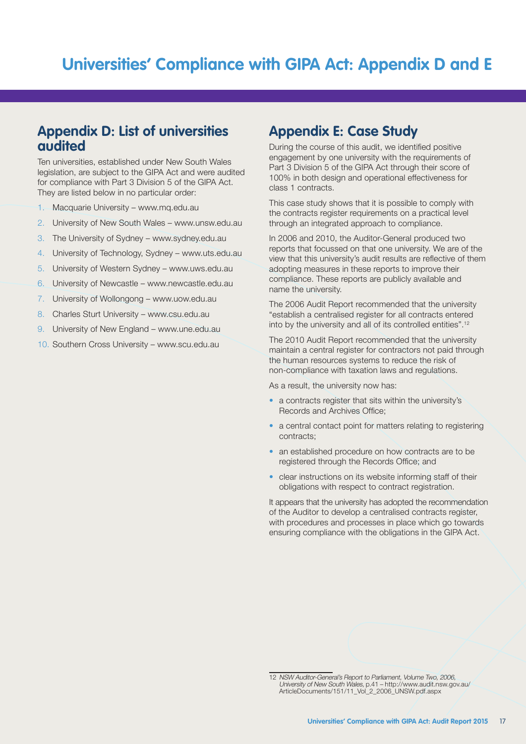# <span id="page-18-0"></span>**Appendix D: List of universities audited**

Ten universities, established under New South Wales legislation, are subject to the GIPA Act and were audited for compliance with Part 3 Division 5 of the GIPA Act. They are listed below in no particular order:

- 1. Macquarie University [www.mq.edu.au](http://www.mq.edu.au)
- 2. University of New South Wales [www.unsw.edu.au](http://www.unsw.edu.au)
- 3. The University of Sydney [www.sydney.edu.au](http://www.sydney.edu.au)
- 4. University of Technology, Sydney [www.uts.edu.au](http://www.uts.edu.au)
- 5. University of Western Sydney [www.uws.edu.au](http://www.uws.edu.au)
- 6. University of Newcastle [www.newcastle.edu.au](http://www.newcastle.edu.au)
- 7. University of Wollongong [www.uow.edu.au](http://www.uow.edu.au)
- 8. Charles Sturt University [www.csu.edu.au](http://www.csu.edu.au)
- 9. University of New England [www.une.edu.au](http://www.une.edu.au)
- 10. Southern Cross University [www.scu.edu.au](http://www.scu.edu.au)

# **Appendix E: Case Study**

During the course of this audit, we identified positive engagement by one university with the requirements of Part 3 Division 5 of the GIPA Act through their score of 100% in both design and operational effectiveness for class 1 contracts.

This case study shows that it is possible to comply with the contracts register requirements on a practical level through an integrated approach to compliance.

In 2006 and 2010, the Auditor-General produced two reports that focussed on that one university. We are of the view that this university's audit results are reflective of them adopting measures in these reports to improve their compliance. These reports are publicly available and name the university.

The 2006 Audit Report recommended that the university "establish a centralised register for all contracts entered into by the university and all of its controlled entities".12

The 2010 Audit Report recommended that the university maintain a central register for contractors not paid through the human resources systems to reduce the risk of non-compliance with taxation laws and regulations.

As a result, the university now has:

- a contracts register that sits within the university's Records and Archives Office;
- a central contact point for matters relating to registering contracts;
- an established procedure on how contracts are to be registered through the Records Office; and
- clear instructions on its website informing staff of their obligations with respect to contract registration.

It appears that the university has adopted the recommendation of the Auditor to develop a centralised contracts register, with procedures and processes in place which go towards ensuring compliance with the obligations in the GIPA Act.

<sup>12</sup> NSW Auditor-General's Report to Parliament, Volume Two, 2006, University of New South Wales, p.41 – [http://www.audit.nsw.gov.au/](http://www.audit.nsw.gov.au/ArticleDocuments/151/11_Vol_2_2006_UNSW.pdf.aspx) [ArticleDocuments/151/11\\_Vol\\_2\\_2006\\_UNSW.pdf.aspx](http://www.audit.nsw.gov.au/ArticleDocuments/151/11_Vol_2_2006_UNSW.pdf.aspx)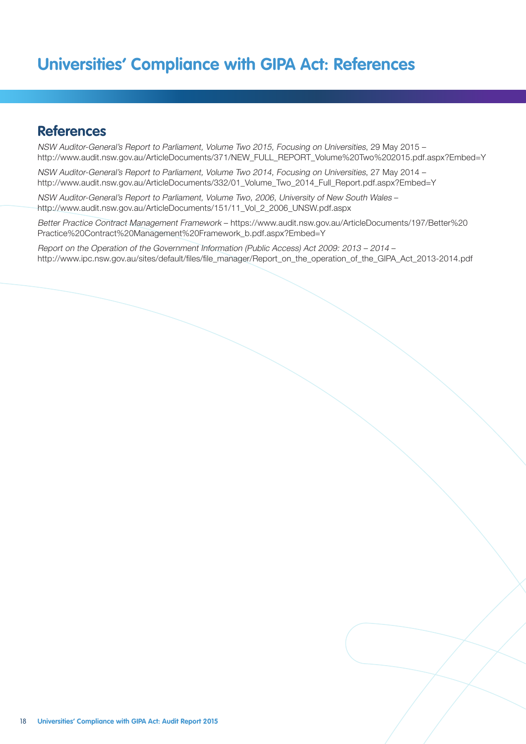# <span id="page-19-0"></span>**References**

NSW Auditor-General's Report to Parliament, Volume Two 2015, Focusing on Universities, 29 May 2015 – [http://www.audit.nsw.gov.au/ArticleDocuments/371/NEW\\_FULL\\_REPORT\\_Volume%20Two%202015.pdf.aspx?Embed=Y](http://www.audit.nsw.gov.au/ArticleDocuments/371/NEW_FULL_REPORT_Volume%20Two%202015.pdf.aspx?Embed=)

NSW Auditor-General's Report to Parliament, Volume Two 2014, Focusing on Universities, 27 May 2014 – http://www.audit.nsw.gov.au/ArticleDocuments/332/01\_Volume\_Two\_2014\_Full\_Report.pdf.aspx?Embed=Y

NSW Auditor-General's Report to Parliament, Volume Two, 2006, University of New South Wales – [http://www.audit.nsw.gov.au/ArticleDocuments/151/11\\_Vol\\_2\\_2006\\_UNSW.pdf.aspx](http://www.audit.nsw.gov.au/ArticleDocuments/151/11_Vol_2_2006_UNSW.pdf.aspx)

Better Practice Contract Management Framework – https://www.audit.nsw.gov.au/ArticleDocuments/197/Better%20 Practice%20Contract%20Management%20Framework\_b.pdf.aspx?Embed=Y

Report on the Operation of the Government Information (Public Access) Act 2009: 2013 – 2014 – http://www.ipc.nsw.gov.au/sites/default/files/file\_manager/Report\_on\_the\_operation\_of\_the\_GIPA\_Act\_2013-2014.pdf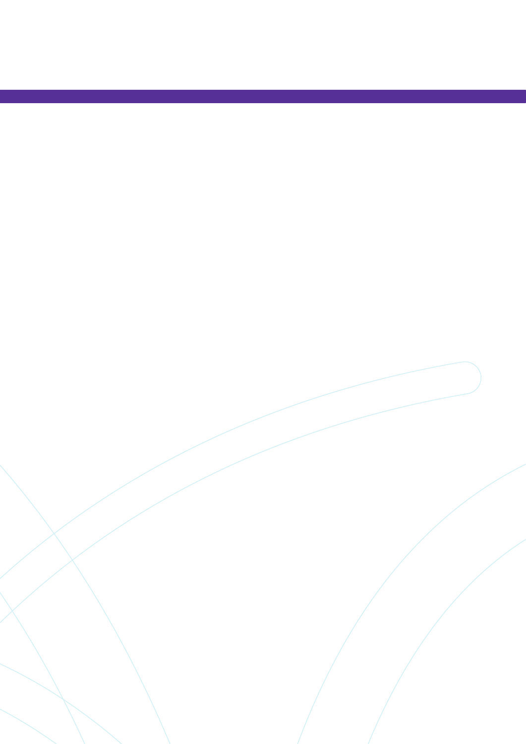